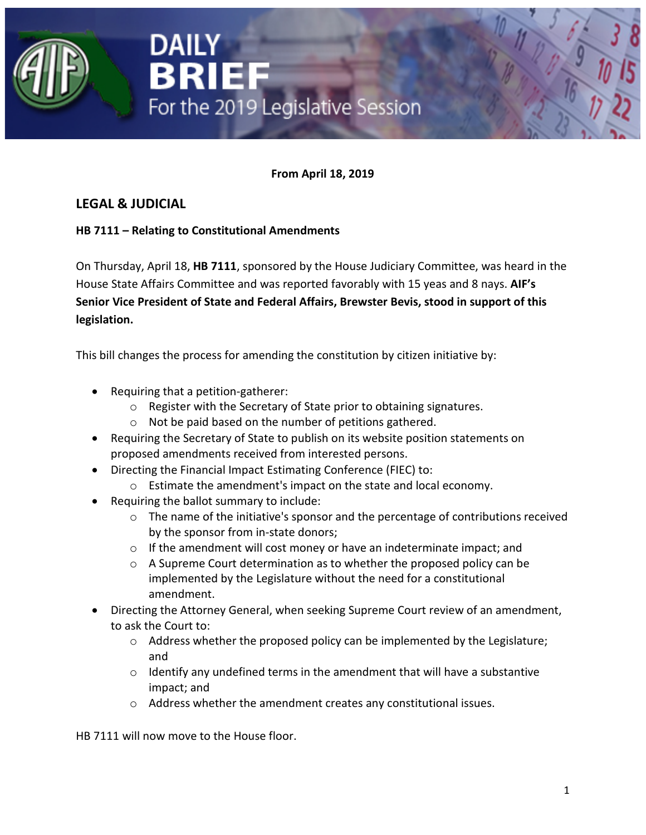

**From April 18, 2019**

## **LEGAL & JUDICIAL**

### **HB 7111 – Relating to Constitutional Amendments**

On Thursday, April 18, **HB 7111**, sponsored by the House Judiciary Committee, was heard in the House State Affairs Committee and was reported favorably with 15 yeas and 8 nays. **AIF's Senior Vice President of State and Federal Affairs, Brewster Bevis, stood in support of this legislation.**

This bill changes the process for amending the constitution by citizen initiative by:

- Requiring that a petition-gatherer:
	- o Register with the Secretary of State prior to obtaining signatures.
	- o Not be paid based on the number of petitions gathered.
- Requiring the Secretary of State to publish on its website position statements on proposed amendments received from interested persons.
- Directing the Financial Impact Estimating Conference (FIEC) to:
	- o Estimate the amendment's impact on the state and local economy.
- Requiring the ballot summary to include:
	- o The name of the initiative's sponsor and the percentage of contributions received by the sponsor from in-state donors;
	- o If the amendment will cost money or have an indeterminate impact; and
	- $\circ$  A Supreme Court determination as to whether the proposed policy can be implemented by the Legislature without the need for a constitutional amendment.
- Directing the Attorney General, when seeking Supreme Court review of an amendment, to ask the Court to:
	- o Address whether the proposed policy can be implemented by the Legislature; and
	- o Identify any undefined terms in the amendment that will have a substantive impact; and
	- o Address whether the amendment creates any constitutional issues.

HB 7111 will now move to the House floor.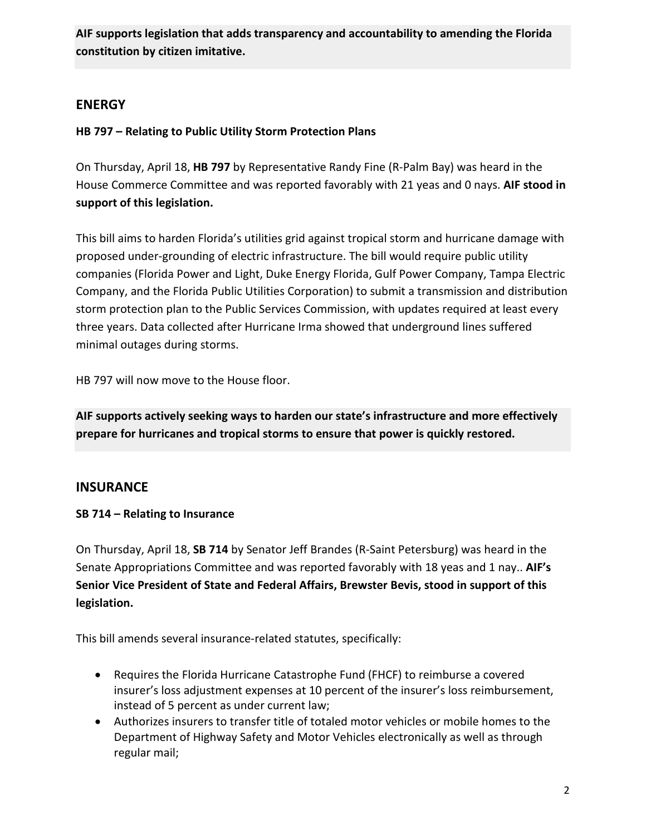**AIF supports legislation that adds transparency and accountability to amending the Florida constitution by citizen imitative.**

## **ENERGY**

## **HB 797 – Relating to Public Utility Storm Protection Plans**

On Thursday, April 18, **HB 797** by Representative Randy Fine (R-Palm Bay) was heard in the House Commerce Committee and was reported favorably with 21 yeas and 0 nays. **AIF stood in support of this legislation.**

This bill aims to harden Florida's utilities grid against tropical storm and hurricane damage with proposed under-grounding of electric infrastructure. The bill would require public utility companies (Florida Power and Light, Duke Energy Florida, Gulf Power Company, Tampa Electric Company, and the Florida Public Utilities Corporation) to submit a transmission and distribution storm protection plan to the Public Services Commission, with updates required at least every three years. Data collected after Hurricane Irma showed that underground lines suffered minimal outages during storms.

HB 797 will now move to the House floor.

**AIF supports actively seeking ways to harden our state's infrastructure and more effectively prepare for hurricanes and tropical storms to ensure that power is quickly restored.**

## **INSURANCE**

## **SB 714 – Relating to Insurance**

On Thursday, April 18, **SB 714** by Senator Jeff Brandes (R-Saint Petersburg) was heard in the Senate Appropriations Committee and was reported favorably with 18 yeas and 1 nay.. **AIF's Senior Vice President of State and Federal Affairs, Brewster Bevis, stood in support of this legislation.**

This bill amends several insurance-related statutes, specifically:

- Requires the Florida Hurricane Catastrophe Fund (FHCF) to reimburse a covered insurer's loss adjustment expenses at 10 percent of the insurer's loss reimbursement, instead of 5 percent as under current law;
- Authorizes insurers to transfer title of totaled motor vehicles or mobile homes to the Department of Highway Safety and Motor Vehicles electronically as well as through regular mail;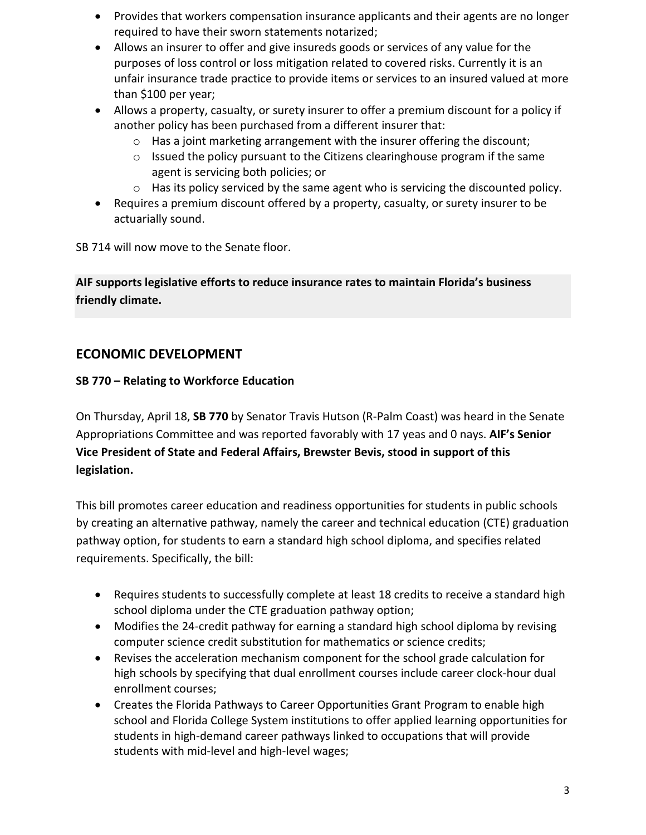- Provides that workers compensation insurance applicants and their agents are no longer required to have their sworn statements notarized;
- Allows an insurer to offer and give insureds goods or services of any value for the purposes of loss control or loss mitigation related to covered risks. Currently it is an unfair insurance trade practice to provide items or services to an insured valued at more than \$100 per year;
- Allows a property, casualty, or surety insurer to offer a premium discount for a policy if another policy has been purchased from a different insurer that:
	- $\circ$  Has a joint marketing arrangement with the insurer offering the discount;
	- o Issued the policy pursuant to the Citizens clearinghouse program if the same agent is servicing both policies; or
	- o Has its policy serviced by the same agent who is servicing the discounted policy.
- Requires a premium discount offered by a property, casualty, or surety insurer to be actuarially sound.

SB 714 will now move to the Senate floor.

**AIF supports legislative efforts to reduce insurance rates to maintain Florida's business friendly climate.**

# **ECONOMIC DEVELOPMENT**

### **SB 770 – Relating to Workforce Education**

On Thursday, April 18, **SB 770** by Senator Travis Hutson (R-Palm Coast) was heard in the Senate Appropriations Committee and was reported favorably with 17 yeas and 0 nays. **AIF's Senior Vice President of State and Federal Affairs, Brewster Bevis, stood in support of this legislation.**

This bill promotes career education and readiness opportunities for students in public schools by creating an alternative pathway, namely the career and technical education (CTE) graduation pathway option, for students to earn a standard high school diploma, and specifies related requirements. Specifically, the bill:

- Requires students to successfully complete at least 18 credits to receive a standard high school diploma under the CTE graduation pathway option;
- Modifies the 24-credit pathway for earning a standard high school diploma by revising computer science credit substitution for mathematics or science credits;
- Revises the acceleration mechanism component for the school grade calculation for high schools by specifying that dual enrollment courses include career clock-hour dual enrollment courses;
- Creates the Florida Pathways to Career Opportunities Grant Program to enable high school and Florida College System institutions to offer applied learning opportunities for students in high-demand career pathways linked to occupations that will provide students with mid-level and high-level wages;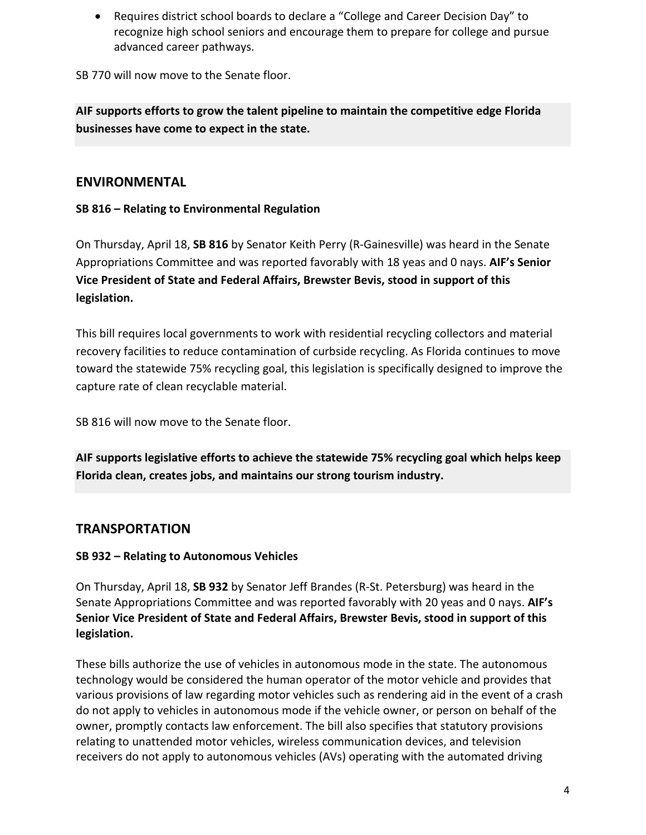• Requires district school boards to declare a "College and Career Decision Day" to recognize high school seniors and encourage them to prepare for college and pursue advanced career pathways.

SB 770 will now move to the Senate floor.

**AIF supports efforts to grow the talent pipeline to maintain the competitive edge Florida businesses have come to expect in the state.**

## **ENVIRONMENTAL**

## **SB 816 – Relating to Environmental Regulation**

On Thursday, April 18, **SB 816** by Senator Keith Perry (R-Gainesville) was heard in the Senate Appropriations Committee and was reported favorably with 18 yeas and 0 nays. **AIF's Senior Vice President of State and Federal Affairs, Brewster Bevis, stood in support of this legislation.**

This bill requires local governments to work with residential recycling collectors and material recovery facilities to reduce contamination of curbside recycling. As Florida continues to move toward the statewide 75% recycling goal, this legislation is specifically designed to improve the capture rate of clean recyclable material.

SB 816 will now move to the Senate floor.

**AIF supports legislative efforts to achieve the statewide 75% recycling goal which helps keep Florida clean, creates jobs, and maintains our strong tourism industry.**

## **TRANSPORTATION**

## **SB 932 – Relating to Autonomous Vehicles**

On Thursday, April 18, **SB 932** by Senator Jeff Brandes (R-St. Petersburg) was heard in the Senate Appropriations Committee and was reported favorably with 20 yeas and 0 nays. **AIF's Senior Vice President of State and Federal Affairs, Brewster Bevis, stood in support of this legislation.**

These bills authorize the use of vehicles in autonomous mode in the state. The autonomous technology would be considered the human operator of the motor vehicle and provides that various provisions of law regarding motor vehicles such as rendering aid in the event of a crash do not apply to vehicles in autonomous mode if the vehicle owner, or person on behalf of the owner, promptly contacts law enforcement. The bill also specifies that statutory provisions relating to unattended motor vehicles, wireless communication devices, and television receivers do not apply to autonomous vehicles (AVs) operating with the automated driving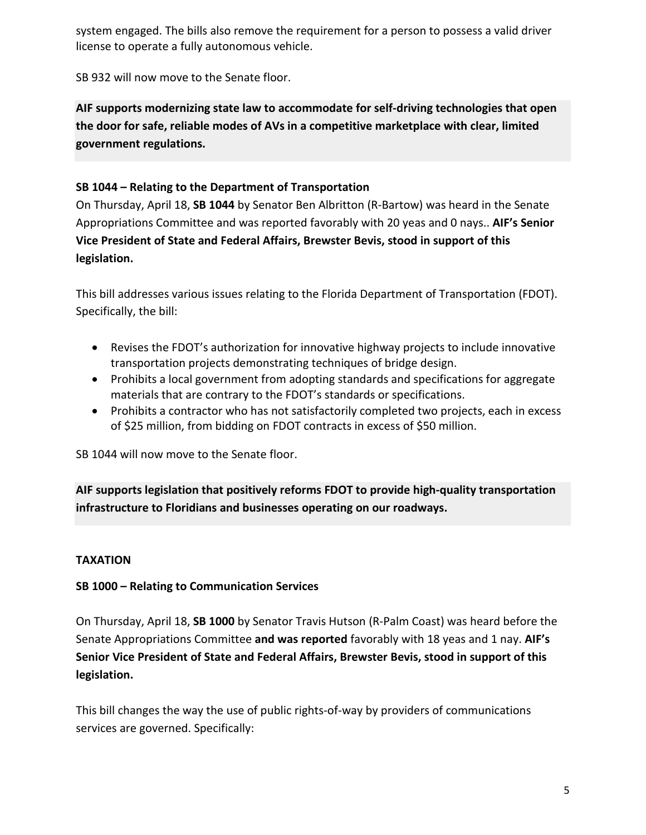system engaged. The bills also remove the requirement for a person to possess a valid driver license to operate a fully autonomous vehicle.

SB 932 will now move to the Senate floor.

**AIF supports modernizing state law to accommodate for self-driving technologies that open the door for safe, reliable modes of AVs in a competitive marketplace with clear, limited government regulations.**

### **SB 1044 – Relating to the Department of Transportation**

On Thursday, April 18, **SB 1044** by Senator Ben Albritton (R-Bartow) was heard in the Senate Appropriations Committee and was reported favorably with 20 yeas and 0 nays.. **AIF's Senior Vice President of State and Federal Affairs, Brewster Bevis, stood in support of this legislation.**

This bill addresses various issues relating to the Florida Department of Transportation (FDOT). Specifically, the bill:

- Revises the FDOT's authorization for innovative highway projects to include innovative transportation projects demonstrating techniques of bridge design.
- Prohibits a local government from adopting standards and specifications for aggregate materials that are contrary to the FDOT's standards or specifications.
- Prohibits a contractor who has not satisfactorily completed two projects, each in excess of \$25 million, from bidding on FDOT contracts in excess of \$50 million.

SB 1044 will now move to the Senate floor.

**AIF supports legislation that positively reforms FDOT to provide high-quality transportation infrastructure to Floridians and businesses operating on our roadways.**

## **TAXATION**

#### **SB 1000 – Relating to Communication Services**

On Thursday, April 18, **SB 1000** by Senator Travis Hutson (R-Palm Coast) was heard before the Senate Appropriations Committee **and was reported** favorably with 18 yeas and 1 nay. **AIF's Senior Vice President of State and Federal Affairs, Brewster Bevis, stood in support of this legislation.**

This bill changes the way the use of public rights-of-way by providers of communications services are governed. Specifically: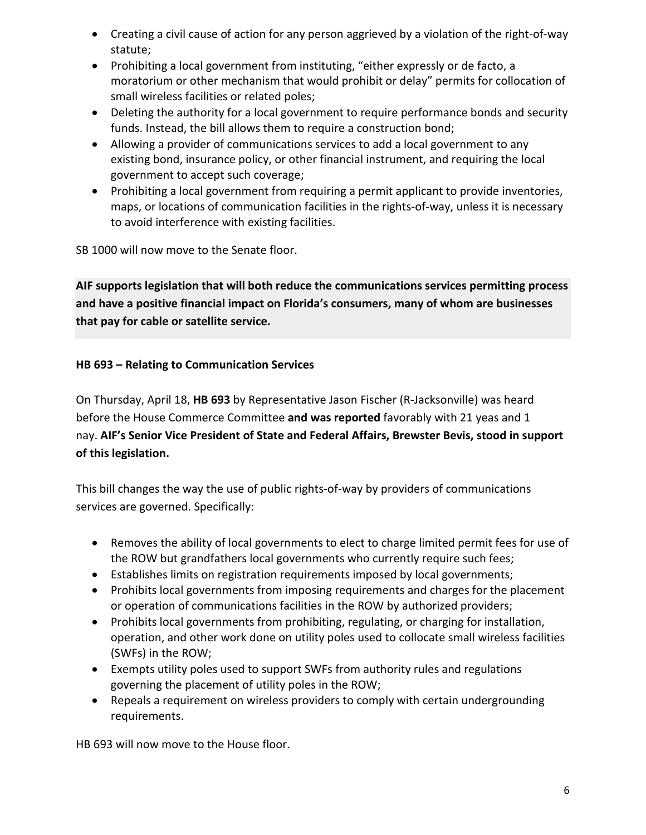- Creating a civil cause of action for any person aggrieved by a violation of the right-of-way statute;
- Prohibiting a local government from instituting, "either expressly or de facto, a moratorium or other mechanism that would prohibit or delay" permits for collocation of small wireless facilities or related poles;
- Deleting the authority for a local government to require performance bonds and security funds. Instead, the bill allows them to require a construction bond;
- Allowing a provider of communications services to add a local government to any existing bond, insurance policy, or other financial instrument, and requiring the local government to accept such coverage;
- Prohibiting a local government from requiring a permit applicant to provide inventories, maps, or locations of communication facilities in the rights-of-way, unless it is necessary to avoid interference with existing facilities.

SB 1000 will now move to the Senate floor.

**AIF supports legislation that will both reduce the communications services permitting process and have a positive financial impact on Florida's consumers, many of whom are businesses that pay for cable or satellite service.**

### **HB 693 – Relating to Communication Services**

On Thursday, April 18, **HB 693** by Representative Jason Fischer (R-Jacksonville) was heard before the House Commerce Committee **and was reported** favorably with 21 yeas and 1 nay. **AIF's Senior Vice President of State and Federal Affairs, Brewster Bevis, stood in support of this legislation.**

This bill changes the way the use of public rights-of-way by providers of communications services are governed. Specifically:

- Removes the ability of local governments to elect to charge limited permit fees for use of the ROW but grandfathers local governments who currently require such fees;
- Establishes limits on registration requirements imposed by local governments;
- Prohibits local governments from imposing requirements and charges for the placement or operation of communications facilities in the ROW by authorized providers;
- Prohibits local governments from prohibiting, regulating, or charging for installation, operation, and other work done on utility poles used to collocate small wireless facilities (SWFs) in the ROW;
- Exempts utility poles used to support SWFs from authority rules and regulations governing the placement of utility poles in the ROW;
- Repeals a requirement on wireless providers to comply with certain undergrounding requirements.

HB 693 will now move to the House floor.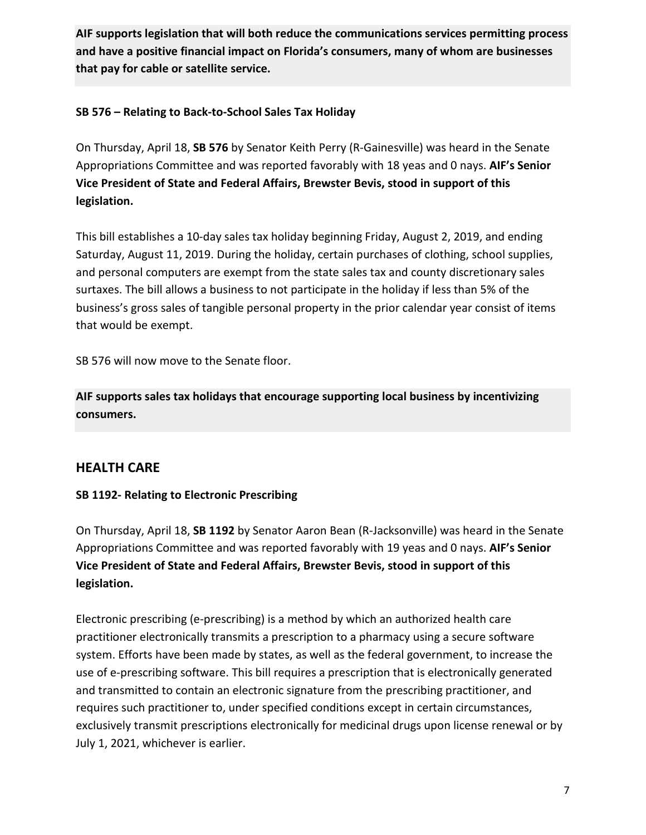**AIF supports legislation that will both reduce the communications services permitting process and have a positive financial impact on Florida's consumers, many of whom are businesses that pay for cable or satellite service.**

#### **SB 576 – Relating to Back-to-School Sales Tax Holiday**

On Thursday, April 18, **SB 576** by Senator Keith Perry (R-Gainesville) was heard in the Senate Appropriations Committee and was reported favorably with 18 yeas and 0 nays. **AIF's Senior Vice President of State and Federal Affairs, Brewster Bevis, stood in support of this legislation.**

This bill establishes a 10-day sales tax holiday beginning Friday, August 2, 2019, and ending Saturday, August 11, 2019. During the holiday, certain purchases of clothing, school supplies, and personal computers are exempt from the state sales tax and county discretionary sales surtaxes. The bill allows a business to not participate in the holiday if less than 5% of the business's gross sales of tangible personal property in the prior calendar year consist of items that would be exempt.

SB 576 will now move to the Senate floor.

**AIF supports sales tax holidays that encourage supporting local business by incentivizing consumers.**

## **HEALTH CARE**

#### **SB 1192- Relating to Electronic Prescribing**

On Thursday, April 18, **SB 1192** by Senator Aaron Bean (R-Jacksonville) was heard in the Senate Appropriations Committee and was reported favorably with 19 yeas and 0 nays. **AIF's Senior Vice President of State and Federal Affairs, Brewster Bevis, stood in support of this legislation.**

Electronic prescribing (e-prescribing) is a method by which an authorized health care practitioner electronically transmits a prescription to a pharmacy using a secure software system. Efforts have been made by states, as well as the federal government, to increase the use of e-prescribing software. This bill requires a prescription that is electronically generated and transmitted to contain an electronic signature from the prescribing practitioner, and requires such practitioner to, under specified conditions except in certain circumstances, exclusively transmit prescriptions electronically for medicinal drugs upon license renewal or by July 1, 2021, whichever is earlier.